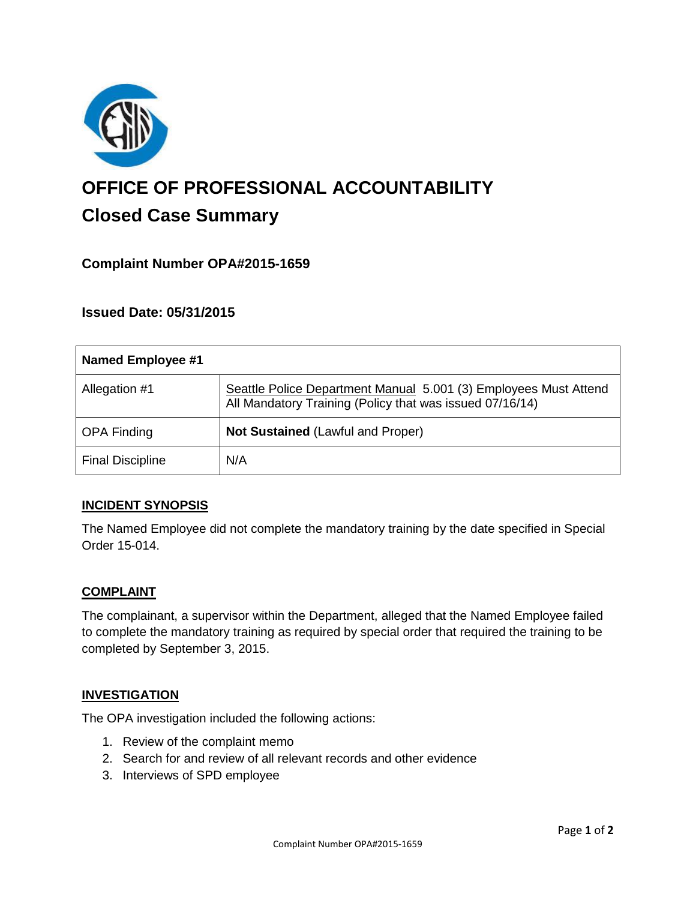

# **OFFICE OF PROFESSIONAL ACCOUNTABILITY Closed Case Summary**

# **Complaint Number OPA#2015-1659**

## **Issued Date: 05/31/2015**

| <b>Named Employee #1</b> |                                                                                                                              |
|--------------------------|------------------------------------------------------------------------------------------------------------------------------|
| Allegation #1            | Seattle Police Department Manual 5.001 (3) Employees Must Attend<br>All Mandatory Training (Policy that was issued 07/16/14) |
| <b>OPA Finding</b>       | <b>Not Sustained (Lawful and Proper)</b>                                                                                     |
| <b>Final Discipline</b>  | N/A                                                                                                                          |

## **INCIDENT SYNOPSIS**

The Named Employee did not complete the mandatory training by the date specified in Special Order 15-014.

#### **COMPLAINT**

The complainant, a supervisor within the Department, alleged that the Named Employee failed to complete the mandatory training as required by special order that required the training to be completed by September 3, 2015.

#### **INVESTIGATION**

The OPA investigation included the following actions:

- 1. Review of the complaint memo
- 2. Search for and review of all relevant records and other evidence
- 3. Interviews of SPD employee